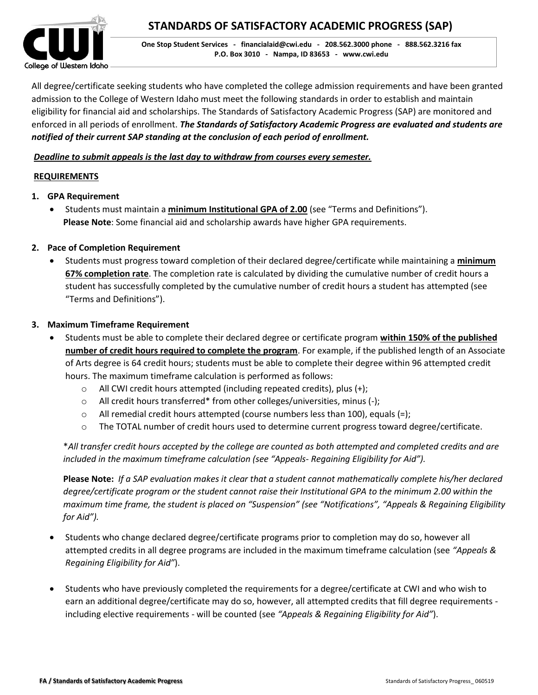

All degree/certificate seeking students who have completed the college admission requirements and have been granted admission to the College of Western Idaho must meet the following standards in order to establish and maintain eligibility for financial aid and scholarships. The Standards of Satisfactory Academic Progress (SAP) are monitored and enforced in all periods of enrollment. *The Standards of Satisfactory Academic Progress are evaluated and students are notified of their current SAP standing at the conclusion of each period of enrollment.*

# *Deadline to submit appeals is the last day to withdraw from courses every semester.*

# **REQUIREMENTS**

- **1. GPA Requirement**
	- Students must maintain a **minimum Institutional GPA of 2.00** (see "Terms and Definitions"). **Please Note**: Some financial aid and scholarship awards have higher GPA requirements.
- **2. Pace of Completion Requirement**
	- Students must progress toward completion of their declared degree/certificate while maintaining a **minimum 67% completion rate**. The completion rate is calculated by dividing the cumulative number of credit hours a student has successfully completed by the cumulative number of credit hours a student has attempted (see "Terms and Definitions").

# **3. Maximum Timeframe Requirement**

- Students must be able to complete their declared degree or certificate program **within 150% of the published number of credit hours required to complete the program**. For example, if the published length of an Associate of Arts degree is 64 credit hours; students must be able to complete their degree within 96 attempted credit hours. The maximum timeframe calculation is performed as follows:
	- o All CWI credit hours attempted (including repeated credits), plus (+);
	- o All credit hours transferred\* from other colleges/universities, minus (-);
	- $\circ$  All remedial credit hours attempted (course numbers less than 100), equals (=);
	- o The TOTAL number of credit hours used to determine current progress toward degree/certificate.

\**All transfer credit hours accepted by the college are counted as both attempted and completed credits and are included in the maximum timeframe calculation (see "Appeals- Regaining Eligibility for Aid").* 

**Please Note:** *If a SAP evaluation makes it clear that a student cannot mathematically complete his/her declared degree/certificate program or the student cannot raise their Institutional GPA to the minimum 2.00 within the maximum time frame, the student is placed on "Suspension" (see "Notifications", "Appeals & Regaining Eligibility for Aid").*

- Students who change declared degree/certificate programs prior to completion may do so, however all attempted credits in all degree programs are included in the maximum timeframe calculation (see *"Appeals & Regaining Eligibility for Aid"*).
- Students who have previously completed the requirements for a degree/certificate at CWI and who wish to earn an additional degree/certificate may do so, however, all attempted credits that fill degree requirements including elective requirements - will be counted (see *"Appeals & Regaining Eligibility for Aid"*).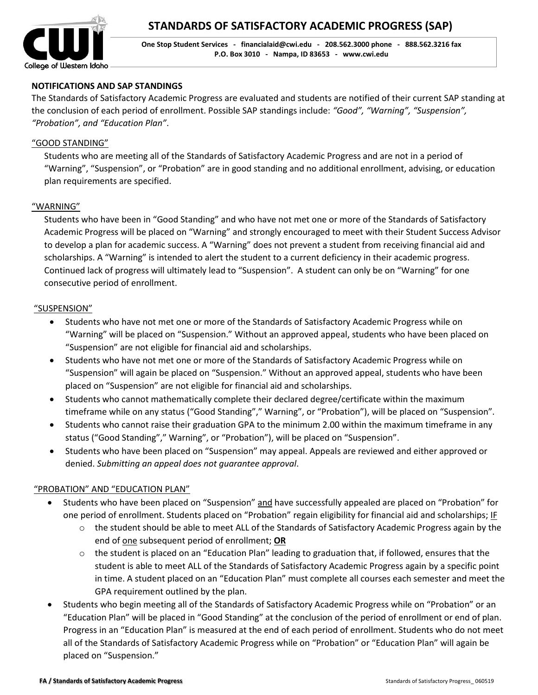

# **NOTIFICATIONS AND SAP STANDINGS**

The Standards of Satisfactory Academic Progress are evaluated and students are notified of their current SAP standing at the conclusion of each period of enrollment. Possible SAP standings include: *"Good", "Warning", "Suspension", "Probation", and "Education Plan"*.

### "GOOD STANDING"

Students who are meeting all of the Standards of Satisfactory Academic Progress and are not in a period of "Warning", "Suspension", or "Probation" are in good standing and no additional enrollment, advising, or education plan requirements are specified.

### "WARNING"

Students who have been in "Good Standing" and who have not met one or more of the Standards of Satisfactory Academic Progress will be placed on "Warning" and strongly encouraged to meet with their Student Success Advisor to develop a plan for academic success. A "Warning" does not prevent a student from receiving financial aid and scholarships. A "Warning" is intended to alert the student to a current deficiency in their academic progress. Continued lack of progress will ultimately lead to "Suspension". A student can only be on "Warning" for one consecutive period of enrollment.

#### "SUSPENSION"

- Students who have not met one or more of the Standards of Satisfactory Academic Progress while on "Warning" will be placed on "Suspension." Without an approved appeal, students who have been placed on "Suspension" are not eligible for financial aid and scholarships.
- Students who have not met one or more of the Standards of Satisfactory Academic Progress while on "Suspension" will again be placed on "Suspension." Without an approved appeal, students who have been placed on "Suspension" are not eligible for financial aid and scholarships.
- Students who cannot mathematically complete their declared degree/certificate within the maximum timeframe while on any status ("Good Standing"," Warning", or "Probation"), will be placed on "Suspension".
- Students who cannot raise their graduation GPA to the minimum 2.00 within the maximum timeframe in any status ("Good Standing"," Warning", or "Probation"), will be placed on "Suspension".
- Students who have been placed on "Suspension" may appeal. Appeals are reviewed and either approved or denied. *Submitting an appeal does not guarantee approval*.

#### "PROBATION" AND "EDUCATION PLAN"

- Students who have been placed on "Suspension" and have successfully appealed are placed on "Probation" for one period of enrollment. Students placed on "Probation" regain eligibility for financial aid and scholarships; IF
	- $\circ$  the student should be able to meet ALL of the Standards of Satisfactory Academic Progress again by the end of one subsequent period of enrollment; **OR**
	- $\circ$  the student is placed on an "Education Plan" leading to graduation that, if followed, ensures that the student is able to meet ALL of the Standards of Satisfactory Academic Progress again by a specific point in time. A student placed on an "Education Plan" must complete all courses each semester and meet the GPA requirement outlined by the plan.
- Students who begin meeting all of the Standards of Satisfactory Academic Progress while on "Probation" or an "Education Plan" will be placed in "Good Standing" at the conclusion of the period of enrollment or end of plan. Progress in an "Education Plan" is measured at the end of each period of enrollment. Students who do not meet all of the Standards of Satisfactory Academic Progress while on "Probation" or "Education Plan" will again be placed on "Suspension."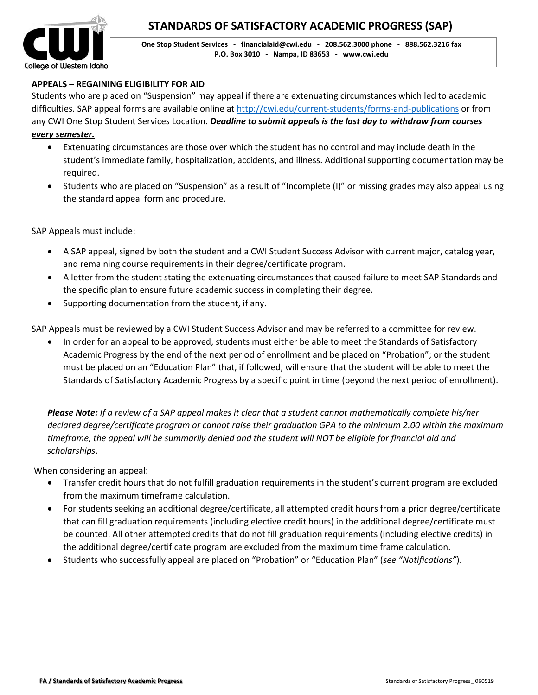

# **APPEALS – REGAINING ELIGIBILITY FOR AID**

Students who are placed on "Suspension" may appeal if there are extenuating circumstances which led to academic difficulties. SAP appeal forms are available online at<http://cwi.edu/current-students/forms-and-publications> or from any CWI One Stop Student Services Location. *Deadline to submit appeals is the last day to withdraw from courses* 

#### *every semester.*

- Extenuating circumstances are those over which the student has no control and may include death in the student's immediate family, hospitalization, accidents, and illness. Additional supporting documentation may be required.
- Students who are placed on "Suspension" as a result of "Incomplete (I)" or missing grades may also appeal using the standard appeal form and procedure.

SAP Appeals must include:

- A SAP appeal, signed by both the student and a CWI Student Success Advisor with current major, catalog year, and remaining course requirements in their degree/certificate program.
- A letter from the student stating the extenuating circumstances that caused failure to meet SAP Standards and the specific plan to ensure future academic success in completing their degree.
- Supporting documentation from the student, if any.

SAP Appeals must be reviewed by a CWI Student Success Advisor and may be referred to a committee for review.

 In order for an appeal to be approved, students must either be able to meet the Standards of Satisfactory Academic Progress by the end of the next period of enrollment and be placed on "Probation"; or the student must be placed on an "Education Plan" that, if followed, will ensure that the student will be able to meet the Standards of Satisfactory Academic Progress by a specific point in time (beyond the next period of enrollment).

*Please Note: If a review of a SAP appeal makes it clear that a student cannot mathematically complete his/her declared degree/certificate program or cannot raise their graduation GPA to the minimum 2.00 within the maximum timeframe, the appeal will be summarily denied and the student will NOT be eligible for financial aid and scholarships*.

When considering an appeal:

- Transfer credit hours that do not fulfill graduation requirements in the student's current program are excluded from the maximum timeframe calculation.
- For students seeking an additional degree/certificate, all attempted credit hours from a prior degree/certificate that can fill graduation requirements (including elective credit hours) in the additional degree/certificate must be counted. All other attempted credits that do not fill graduation requirements (including elective credits) in the additional degree/certificate program are excluded from the maximum time frame calculation.
- Students who successfully appeal are placed on "Probation" or "Education Plan" (*see "Notifications"*).